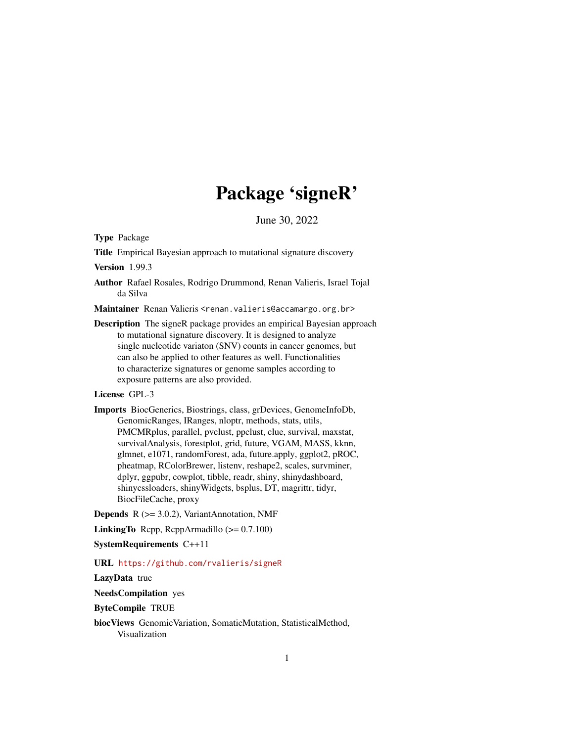# Package 'signeR'

June 30, 2022

Type Package

Title Empirical Bayesian approach to mutational signature discovery

Version 1.99.3

Author Rafael Rosales, Rodrigo Drummond, Renan Valieris, Israel Tojal da Silva

Maintainer Renan Valieris <renan.valieris@accamargo.org.br>

Description The signeR package provides an empirical Bayesian approach to mutational signature discovery. It is designed to analyze single nucleotide variaton (SNV) counts in cancer genomes, but can also be applied to other features as well. Functionalities to characterize signatures or genome samples according to exposure patterns are also provided.

#### License GPL-3

Imports BiocGenerics, Biostrings, class, grDevices, GenomeInfoDb, GenomicRanges, IRanges, nloptr, methods, stats, utils, PMCMRplus, parallel, pvclust, ppclust, clue, survival, maxstat, survivalAnalysis, forestplot, grid, future, VGAM, MASS, kknn, glmnet, e1071, randomForest, ada, future.apply, ggplot2, pROC, pheatmap, RColorBrewer, listenv, reshape2, scales, survminer, dplyr, ggpubr, cowplot, tibble, readr, shiny, shinydashboard, shinycssloaders, shinyWidgets, bsplus, DT, magrittr, tidyr, BiocFileCache, proxy

**Depends**  $R$  ( $>= 3.0.2$ ), VariantAnnotation, NMF

LinkingTo Rcpp, RcppArmadillo (>= 0.7.100)

SystemRequirements C++11

#### URL <https://github.com/rvalieris/signeR>

LazyData true

NeedsCompilation yes

ByteCompile TRUE

biocViews GenomicVariation, SomaticMutation, StatisticalMethod, Visualization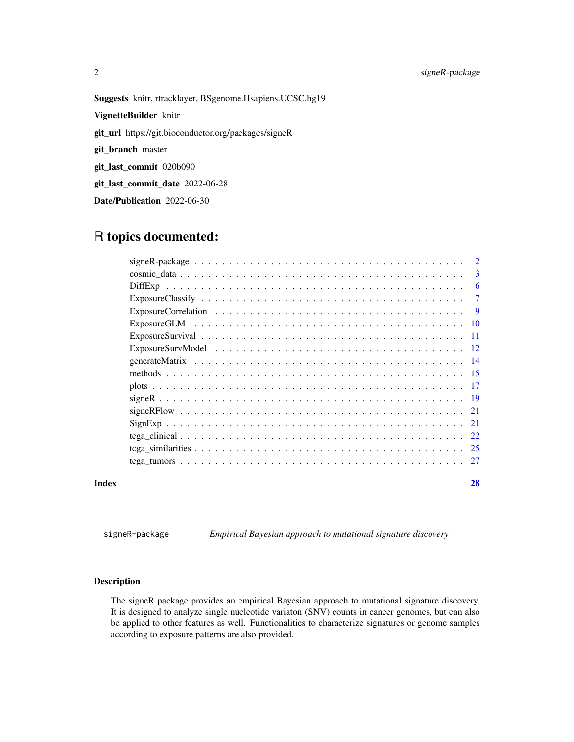# <span id="page-1-0"></span>2 signeR-package

Suggests knitr, rtracklayer, BSgenome.Hsapiens.UCSC.hg19 VignetteBuilder knitr git\_url https://git.bioconductor.org/packages/signeR git\_branch master git\_last\_commit 020b090 git\_last\_commit\_date 2022-06-28 Date/Publication 2022-06-30

# R topics documented:

|       | 2      |
|-------|--------|
|       | 3      |
|       | 6      |
|       | $\tau$ |
|       | - 9    |
|       |        |
|       |        |
|       |        |
|       |        |
|       |        |
|       |        |
|       |        |
|       |        |
|       |        |
|       |        |
|       |        |
|       |        |
| Index | 28     |

signeR-package *Empirical Bayesian approach to mutational signature discovery*

# Description

The signeR package provides an empirical Bayesian approach to mutational signature discovery. It is designed to analyze single nucleotide variaton (SNV) counts in cancer genomes, but can also be applied to other features as well. Functionalities to characterize signatures or genome samples according to exposure patterns are also provided.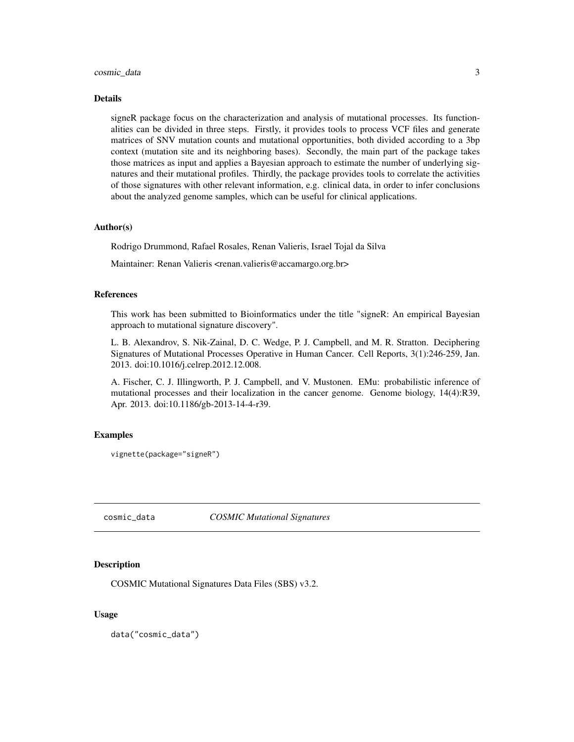#### <span id="page-2-0"></span>Details

signeR package focus on the characterization and analysis of mutational processes. Its functionalities can be divided in three steps. Firstly, it provides tools to process VCF files and generate matrices of SNV mutation counts and mutational opportunities, both divided according to a 3bp context (mutation site and its neighboring bases). Secondly, the main part of the package takes those matrices as input and applies a Bayesian approach to estimate the number of underlying signatures and their mutational profiles. Thirdly, the package provides tools to correlate the activities of those signatures with other relevant information, e.g. clinical data, in order to infer conclusions about the analyzed genome samples, which can be useful for clinical applications.

#### Author(s)

Rodrigo Drummond, Rafael Rosales, Renan Valieris, Israel Tojal da Silva

Maintainer: Renan Valieris <renan.valieris@accamargo.org.br>

#### References

This work has been submitted to Bioinformatics under the title "signeR: An empirical Bayesian approach to mutational signature discovery".

L. B. Alexandrov, S. Nik-Zainal, D. C. Wedge, P. J. Campbell, and M. R. Stratton. Deciphering Signatures of Mutational Processes Operative in Human Cancer. Cell Reports, 3(1):246-259, Jan. 2013. doi:10.1016/j.celrep.2012.12.008.

A. Fischer, C. J. Illingworth, P. J. Campbell, and V. Mustonen. EMu: probabilistic inference of mutational processes and their localization in the cancer genome. Genome biology, 14(4):R39, Apr. 2013. doi:10.1186/gb-2013-14-4-r39.

#### Examples

```
vignette(package="signeR")
```
cosmic\_data *COSMIC Mutational Signatures*

#### Description

COSMIC Mutational Signatures Data Files (SBS) v3.2.

#### Usage

data("cosmic\_data")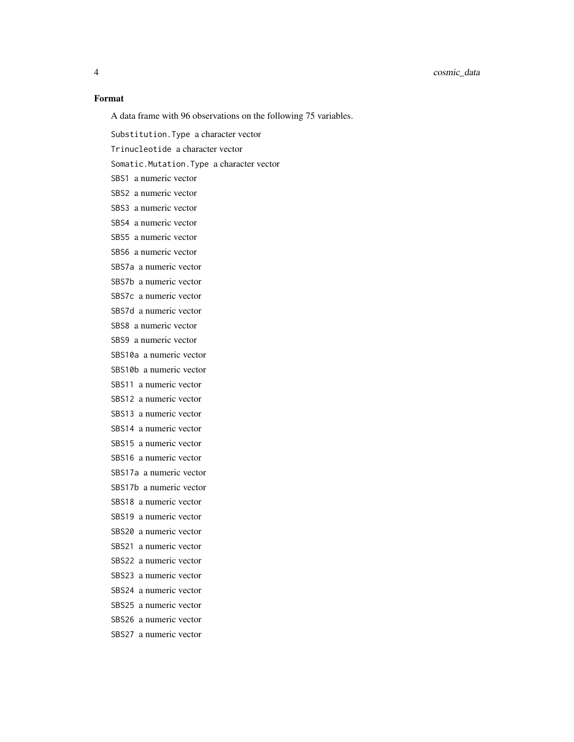#### Format

A data frame with 96 observations on the following 75 variables.

Substitution.Type a character vector Trinucleotide a character vector Somatic.Mutation.Type a character vector SBS1 a numeric vector SBS2 a numeric vector SBS3 a numeric vector SBS4 a numeric vector SBS5 a numeric vector SBS6 a numeric vector SBS7a a numeric vector SBS7b a numeric vector SBS7c a numeric vector SBS7d a numeric vector SBS8 a numeric vector SBS9 a numeric vector SBS10a a numeric vector SBS10b a numeric vector SBS11 a numeric vector SBS12 a numeric vector SBS13 a numeric vector SBS14 a numeric vector SBS15 a numeric vector SBS16 a numeric vector SBS17a a numeric vector SBS17b a numeric vector SBS18 a numeric vector SBS19 a numeric vector SBS20 a numeric vector SBS21 a numeric vector SBS22 a numeric vector SBS23 a numeric vector SBS24 a numeric vector SBS25 a numeric vector SBS26 a numeric vector SBS27 a numeric vector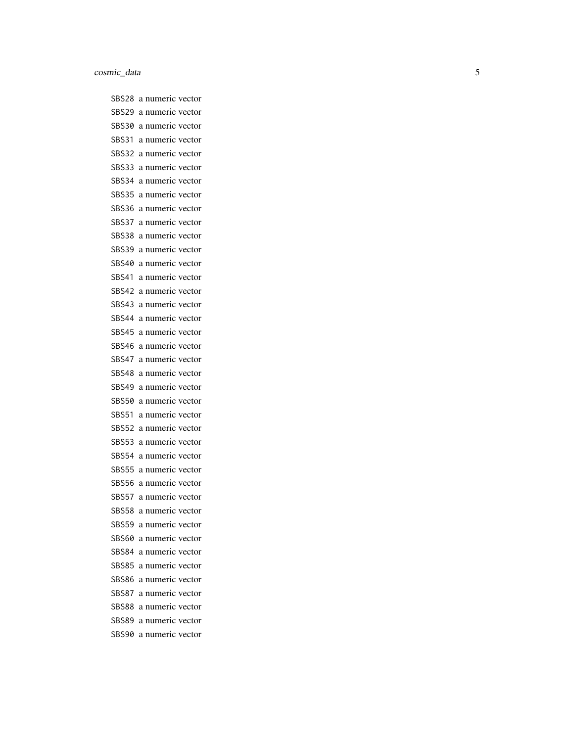SBS28 a numeric vector SBS29 a numeric vector SBS30 a numeric vector SBS31 a numeric vector SBS32 a numeric vector SBS33 a numeric vector SBS34 a numeric vector SBS35 a numeric vector SBS36 a numeric vector SBS37 a numeric vector SBS38 a numeric vector SBS39 a numeric vector SBS40 a numeric vector SBS41 a numeric vector SBS42 a numeric vector SBS43 a numeric vector SBS44 a numeric vector SBS45 a numeric vector SBS46 a numeric vector SBS47 a numeric vector SBS48 a numeric vector SBS49 a numeric vector SBS50 a numeric vector SBS51 a numeric vector SBS52 a numeric vector SBS53 a numeric vector SBS54 a numeric vector SBS55 a numeric vector SBS56 a numeric vector SBS57 a numeric vector SBS58 a numeric vector SBS59 a numeric vector SBS60 a numeric vector SBS84 a numeric vector SBS85 a numeric vector SBS86 a numeric vector SBS87 a numeric vector SBS88 a numeric vector SBS89 a numeric vector SBS90 a numeric vector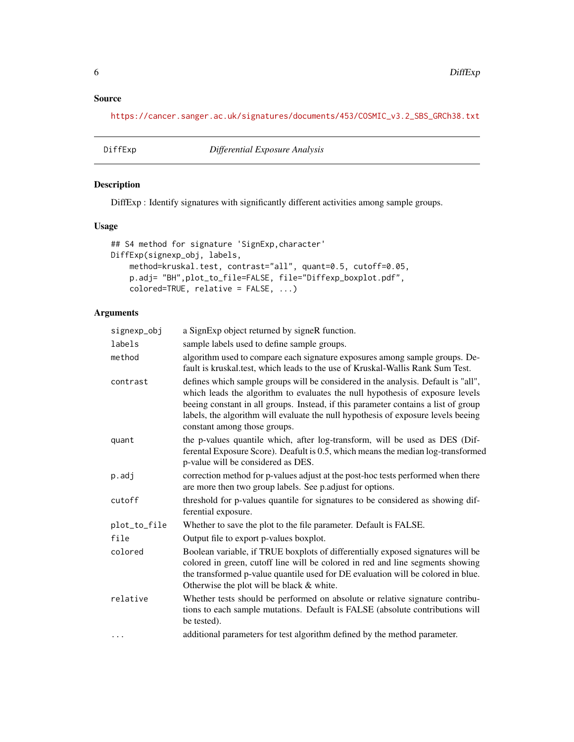# <span id="page-5-0"></span>Source

[https://cancer.sanger.ac.uk/signatures/documents/453/COSMIC\\_v3.2\\_SBS\\_GRCh38.txt](https://cancer.sanger.ac.uk/signatures/documents/453/COSMIC_v3.2_SBS_GRCh38.txt)

DiffExp *Differential Exposure Analysis*

# Description

DiffExp : Identify signatures with significantly different activities among sample groups.

# Usage

```
## S4 method for signature 'SignExp,character'
DiffExp(signexp_obj, labels,
   method=kruskal.test, contrast="all", quant=0.5, cutoff=0.05,
   p.adj= "BH",plot_to_file=FALSE, file="Diffexp_boxplot.pdf",
   colored=TRUE, relative = FALSE, ...)
```
# Arguments

| signexp_obj  | a SignExp object returned by signeR function.                                                                                                                                                                                                                                                                                                                                 |
|--------------|-------------------------------------------------------------------------------------------------------------------------------------------------------------------------------------------------------------------------------------------------------------------------------------------------------------------------------------------------------------------------------|
| labels       | sample labels used to define sample groups.                                                                                                                                                                                                                                                                                                                                   |
| method       | algorithm used to compare each signature exposures among sample groups. De-<br>fault is kruskal.test, which leads to the use of Kruskal-Wallis Rank Sum Test.                                                                                                                                                                                                                 |
| contrast     | defines which sample groups will be considered in the analysis. Default is "all",<br>which leads the algorithm to evaluates the null hypothesis of exposure levels<br>beeing constant in all groups. Instead, if this parameter contains a list of group<br>labels, the algorithm will evaluate the null hypothesis of exposure levels beeing<br>constant among those groups. |
| quant        | the p-values quantile which, after log-transform, will be used as DES (Dif-<br>ferental Exposure Score). Deafult is 0.5, which means the median log-transformed<br>p-value will be considered as DES.                                                                                                                                                                         |
| p.adj        | correction method for p-values adjust at the post-hoc tests performed when there<br>are more then two group labels. See p.adjust for options.                                                                                                                                                                                                                                 |
| cutoff       | threshold for p-values quantile for signatures to be considered as showing dif-<br>ferential exposure.                                                                                                                                                                                                                                                                        |
| plot_to_file | Whether to save the plot to the file parameter. Default is FALSE.                                                                                                                                                                                                                                                                                                             |
| file         | Output file to export p-values boxplot.                                                                                                                                                                                                                                                                                                                                       |
| colored      | Boolean variable, if TRUE boxplots of differentially exposed signatures will be<br>colored in green, cutoff line will be colored in red and line segments showing<br>the transformed p-value quantile used for DE evaluation will be colored in blue.<br>Otherwise the plot will be black & white.                                                                            |
| relative     | Whether tests should be performed on absolute or relative signature contribu-<br>tions to each sample mutations. Default is FALSE (absolute contributions will<br>be tested).                                                                                                                                                                                                 |
| $\cdots$     | additional parameters for test algorithm defined by the method parameter.                                                                                                                                                                                                                                                                                                     |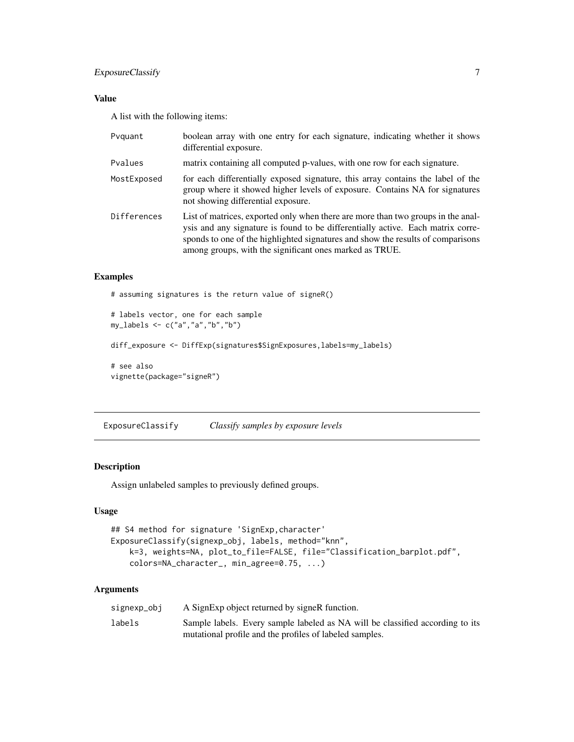# <span id="page-6-0"></span>ExposureClassify 7

# Value

A list with the following items:

| Pvguant     | boolean array with one entry for each signature, indicating whether it shows<br>differential exposure.                                                                                                                                                                                                            |
|-------------|-------------------------------------------------------------------------------------------------------------------------------------------------------------------------------------------------------------------------------------------------------------------------------------------------------------------|
| Pvalues     | matrix containing all computed p-values, with one row for each signature.                                                                                                                                                                                                                                         |
| MostExposed | for each differentially exposed signature, this array contains the label of the<br>group where it showed higher levels of exposure. Contains NA for signatures<br>not showing differential exposure.                                                                                                              |
| Differences | List of matrices, exported only when there are more than two groups in the anal-<br>ysis and any signature is found to be differentially active. Each matrix corre-<br>sponds to one of the highlighted signatures and show the results of comparisons<br>among groups, with the significant ones marked as TRUE. |

#### Examples

```
# assuming signatures is the return value of signeR()
```

```
# labels vector, one for each sample
my_labels <- c("a","a","b","b")
```

```
diff_exposure <- DiffExp(signatures$SignExposures,labels=my_labels)
```

```
# see also
vignette(package="signeR")
```
ExposureClassify *Classify samples by exposure levels*

#### Description

Assign unlabeled samples to previously defined groups.

#### Usage

```
## S4 method for signature 'SignExp,character'
ExposureClassify(signexp_obj, labels, method="knn",
   k=3, weights=NA, plot_to_file=FALSE, file="Classification_barplot.pdf",
    colors=NA_character_, min_agree=0.75, ...)
```
# Arguments

| signexp_obj | A SignExp object returned by signeR function.                                 |
|-------------|-------------------------------------------------------------------------------|
| labels      | Sample labels. Every sample labeled as NA will be classified according to its |
|             | mutational profile and the profiles of labeled samples.                       |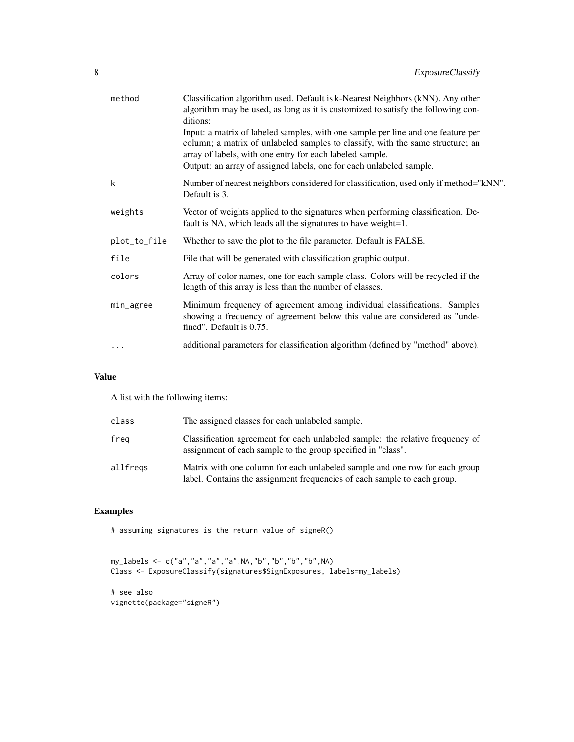| Classification algorithm used. Default is k-Nearest Neighbors (kNN). Any other<br>algorithm may be used, as long as it is customized to satisfy the following con-<br>ditions:                                                                                                                        |
|-------------------------------------------------------------------------------------------------------------------------------------------------------------------------------------------------------------------------------------------------------------------------------------------------------|
| Input: a matrix of labeled samples, with one sample per line and one feature per<br>column; a matrix of unlabeled samples to classify, with the same structure; an<br>array of labels, with one entry for each labeled sample.<br>Output: an array of assigned labels, one for each unlabeled sample. |
| Number of nearest neighbors considered for classification, used only if method="kNN".<br>Default is 3.                                                                                                                                                                                                |
| Vector of weights applied to the signatures when performing classification. De-<br>fault is NA, which leads all the signatures to have weight=1.                                                                                                                                                      |
| Whether to save the plot to the file parameter. Default is FALSE.                                                                                                                                                                                                                                     |
| File that will be generated with classification graphic output.                                                                                                                                                                                                                                       |
| Array of color names, one for each sample class. Colors will be recycled if the<br>length of this array is less than the number of classes.                                                                                                                                                           |
| Minimum frequency of agreement among individual classifications. Samples<br>showing a frequency of agreement below this value are considered as "unde-<br>fined". Default is 0.75.                                                                                                                    |
| additional parameters for classification algorithm (defined by "method" above).                                                                                                                                                                                                                       |
|                                                                                                                                                                                                                                                                                                       |

# Value

A list with the following items:

| class    | The assigned classes for each unlabeled sample.                                                                                                         |
|----------|---------------------------------------------------------------------------------------------------------------------------------------------------------|
| freg     | Classification agreement for each unlabeled sample: the relative frequency of<br>assignment of each sample to the group specified in "class".           |
| allfregs | Matrix with one column for each unlabeled sample and one row for each group<br>label. Contains the assignment frequencies of each sample to each group. |

# Examples

# assuming signatures is the return value of signeR()

```
my_labels <- c("a","a","a","a",NA,"b","b","b","b",NA)
Class <- ExposureClassify(signatures$SignExposures, labels=my_labels)
# see also
vignette(package="signeR")
```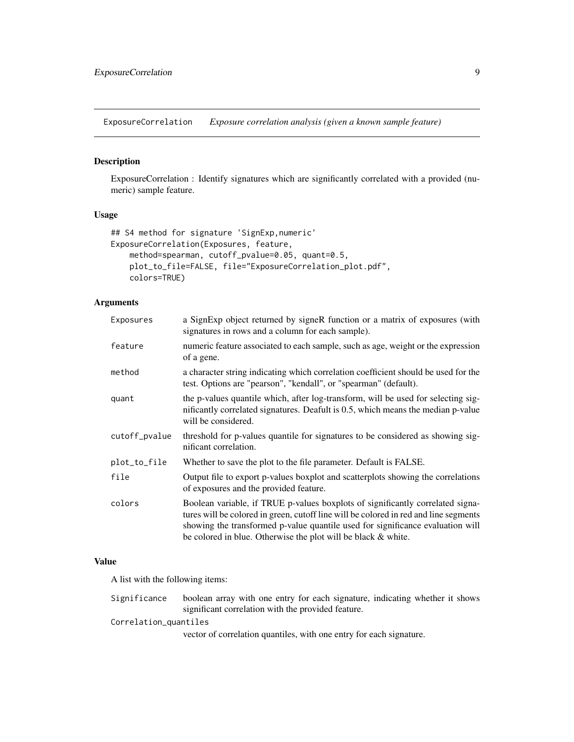<span id="page-8-0"></span>ExposureCorrelation *Exposure correlation analysis (given a known sample feature)*

# Description

ExposureCorrelation : Identify signatures which are significantly correlated with a provided (numeric) sample feature.

#### Usage

```
## S4 method for signature 'SignExp,numeric'
ExposureCorrelation(Exposures, feature,
   method=spearman, cutoff_pvalue=0.05, quant=0.5,
   plot_to_file=FALSE, file="ExposureCorrelation_plot.pdf",
   colors=TRUE)
```
#### Arguments

| Exposures     | a SignExp object returned by signeR function or a matrix of exposures (with<br>signatures in rows and a column for each sample).                                                                                                                                                                                          |
|---------------|---------------------------------------------------------------------------------------------------------------------------------------------------------------------------------------------------------------------------------------------------------------------------------------------------------------------------|
| feature       | numeric feature associated to each sample, such as age, weight or the expression<br>of a gene.                                                                                                                                                                                                                            |
| method        | a character string indicating which correlation coefficient should be used for the<br>test. Options are "pearson", "kendall", or "spearman" (default).                                                                                                                                                                    |
| quant         | the p-values quantile which, after log-transform, will be used for selecting sig-<br>inficantly correlated signatures. Deafult is 0.5, which means the median p-value<br>will be considered.                                                                                                                              |
| cutoff_pvalue | threshold for p-values quantile for signatures to be considered as showing sig-<br>nificant correlation.                                                                                                                                                                                                                  |
| plot_to_file  | Whether to save the plot to the file parameter. Default is FALSE.                                                                                                                                                                                                                                                         |
| file          | Output file to export p-values boxplot and scatterplots showing the correlations<br>of exposures and the provided feature.                                                                                                                                                                                                |
| colors        | Boolean variable, if TRUE p-values boxplots of significantly correlated signa-<br>tures will be colored in green, cutoff line will be colored in red and line segments<br>showing the transformed p-value quantile used for significance evaluation will<br>be colored in blue. Otherwise the plot will be black & white. |

#### Value

A list with the following items:

Significance boolean array with one entry for each signature, indicating whether it shows significant correlation with the provided feature.

Correlation\_quantiles

vector of correlation quantiles, with one entry for each signature.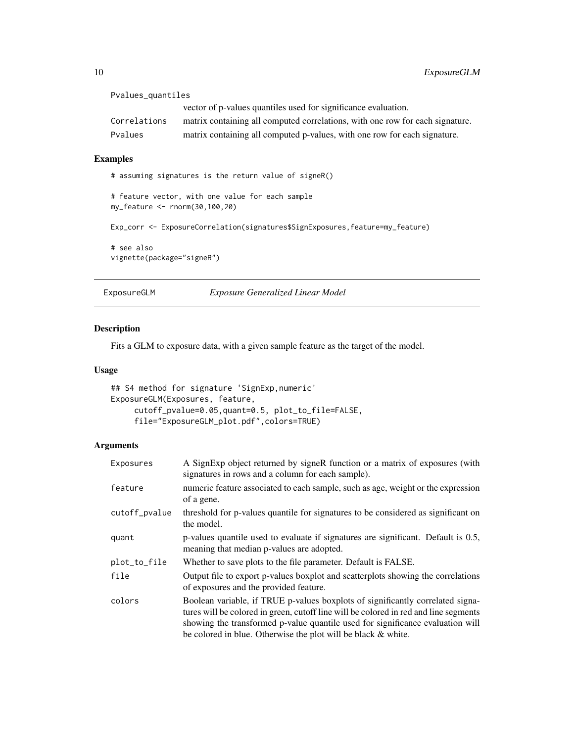| Pvalues_quantiles |                                                                               |
|-------------------|-------------------------------------------------------------------------------|
|                   | vector of p-values quantiles used for significance evaluation.                |
| Correlations      | matrix containing all computed correlations, with one row for each signature. |
| Pvalues           | matrix containing all computed p-values, with one row for each signature.     |
|                   |                                                                               |

#### Examples

```
# assuming signatures is the return value of signeR()
# feature vector, with one value for each sample
my_feature <- rnorm(30,100,20)
Exp_corr <- ExposureCorrelation(signatures$SignExposures,feature=my_feature)
# see also
vignette(package="signeR")
```
ExposureGLM *Exposure Generalized Linear Model*

#### Description

Fits a GLM to exposure data, with a given sample feature as the target of the model.

#### Usage

```
## S4 method for signature 'SignExp,numeric'
ExposureGLM(Exposures, feature,
     cutoff_pvalue=0.05,quant=0.5, plot_to_file=FALSE,
     file="ExposureGLM_plot.pdf",colors=TRUE)
```
# Arguments

| Exposures     | A SignExp object returned by signeR function or a matrix of exposures (with<br>signatures in rows and a column for each sample).                                                                                                                                                                                          |
|---------------|---------------------------------------------------------------------------------------------------------------------------------------------------------------------------------------------------------------------------------------------------------------------------------------------------------------------------|
| feature       | numeric feature associated to each sample, such as age, weight or the expression<br>of a gene.                                                                                                                                                                                                                            |
| cutoff_pvalue | threshold for p-values quantile for signatures to be considered as significant on<br>the model.                                                                                                                                                                                                                           |
| quant         | p-values quantile used to evaluate if signatures are significant. Default is 0.5,<br>meaning that median p-values are adopted.                                                                                                                                                                                            |
| plot_to_file  | Whether to save plots to the file parameter. Default is FALSE.                                                                                                                                                                                                                                                            |
| file          | Output file to export p-values boxplot and scatterplots showing the correlations<br>of exposures and the provided feature.                                                                                                                                                                                                |
| colors        | Boolean variable, if TRUE p-values boxplots of significantly correlated signa-<br>tures will be colored in green, cutoff line will be colored in red and line segments<br>showing the transformed p-value quantile used for significance evaluation will<br>be colored in blue. Otherwise the plot will be black & white. |

<span id="page-9-0"></span>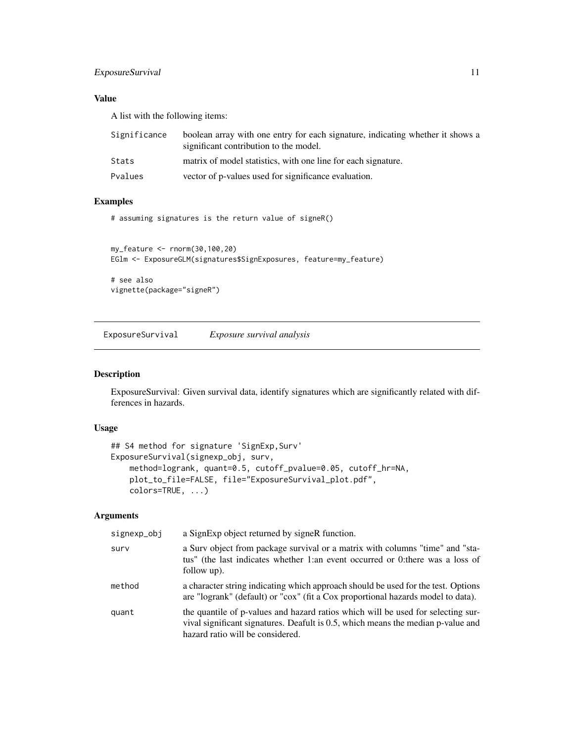# <span id="page-10-0"></span>ExposureSurvival 11

# Value

A list with the following items:

| Significance | boolean array with one entry for each signature, indicating whether it shows a<br>significant contribution to the model. |
|--------------|--------------------------------------------------------------------------------------------------------------------------|
| Stats        | matrix of model statistics, with one line for each signature.                                                            |
| Pvalues      | vector of p-values used for significance evaluation.                                                                     |

### Examples

# assuming signatures is the return value of signeR()

```
my_feature <- rnorm(30,100,20)
EGlm <- ExposureGLM(signatures$SignExposures, feature=my_feature)
```
# see also vignette(package="signeR")

ExposureSurvival *Exposure survival analysis*

# Description

ExposureSurvival: Given survival data, identify signatures which are significantly related with differences in hazards.

# Usage

```
## S4 method for signature 'SignExp,Surv'
ExposureSurvival(signexp_obj, surv,
   method=logrank, quant=0.5, cutoff_pvalue=0.05, cutoff_hr=NA,
   plot_to_file=FALSE, file="ExposureSurvival_plot.pdf",
   colors=TRUE, ...)
```
# Arguments

| signexp_obj | a SignExp object returned by signeR function.                                                                                                                                                            |
|-------------|----------------------------------------------------------------------------------------------------------------------------------------------------------------------------------------------------------|
| surv        | a Surv object from package survival or a matrix with columns "time" and "sta-<br>tus" (the last indicates whether 1:an event occurred or 0:there was a loss of<br>follow up).                            |
| method      | a character string indicating which approach should be used for the test. Options<br>are "logrank" (default) or "cox" (fit a Cox proportional hazards model to data).                                    |
| quant       | the quantile of p-values and hazard ratios which will be used for selecting sur-<br>vival significant signatures. Deafult is 0.5, which means the median p-value and<br>hazard ratio will be considered. |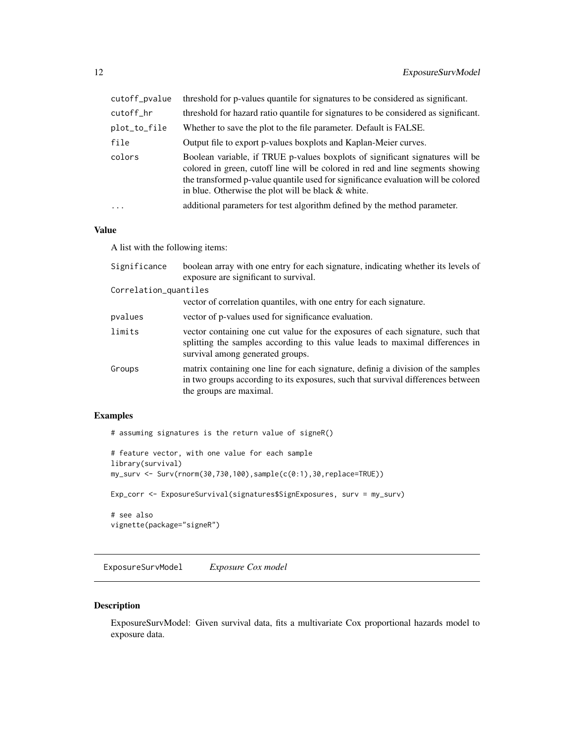<span id="page-11-0"></span>

| cutoff_pvalue | threshold for p-values quantile for signatures to be considered as significant.                                                                                                                                                                                                                            |
|---------------|------------------------------------------------------------------------------------------------------------------------------------------------------------------------------------------------------------------------------------------------------------------------------------------------------------|
| cutoff_hr     | threshold for hazard ratio quantile for signatures to be considered as significant.                                                                                                                                                                                                                        |
| plot_to_file  | Whether to save the plot to the file parameter. Default is FALSE.                                                                                                                                                                                                                                          |
| file          | Output file to export p-values boxplots and Kaplan-Meier curves.                                                                                                                                                                                                                                           |
| colors        | Boolean variable, if TRUE p-values boxplots of significant signatures will be<br>colored in green, cutoff line will be colored in red and line segments showing<br>the transformed p-value quantile used for significance evaluation will be colored<br>in blue. Otherwise the plot will be black & white. |
| $\ddots$ .    | additional parameters for test algorithm defined by the method parameter.                                                                                                                                                                                                                                  |

#### Value

A list with the following items:

| Significance          | boolean array with one entry for each signature, indicating whether its levels of<br>exposure are significant to survival.                                                                          |
|-----------------------|-----------------------------------------------------------------------------------------------------------------------------------------------------------------------------------------------------|
| Correlation_quantiles |                                                                                                                                                                                                     |
|                       | vector of correlation quantiles, with one entry for each signature.                                                                                                                                 |
| pvalues               | vector of p-values used for significance evaluation.                                                                                                                                                |
| limits                | vector containing one cut value for the exposures of each signature, such that<br>splitting the samples according to this value leads to maximal differences in<br>survival among generated groups. |
| Groups                | matrix containing one line for each signature, definig a division of the samples<br>in two groups according to its exposures, such that survival differences between<br>the groups are maximal.     |

# Examples

```
# assuming signatures is the return value of signeR()
```

```
# feature vector, with one value for each sample
library(survival)
my_surv <- Surv(rnorm(30,730,100),sample(c(0:1),30,replace=TRUE))
Exp_corr <- ExposureSurvival(signatures$SignExposures, surv = my_surv)
# see also
vignette(package="signeR")
```
ExposureSurvModel *Exposure Cox model*

# Description

ExposureSurvModel: Given survival data, fits a multivariate Cox proportional hazards model to exposure data.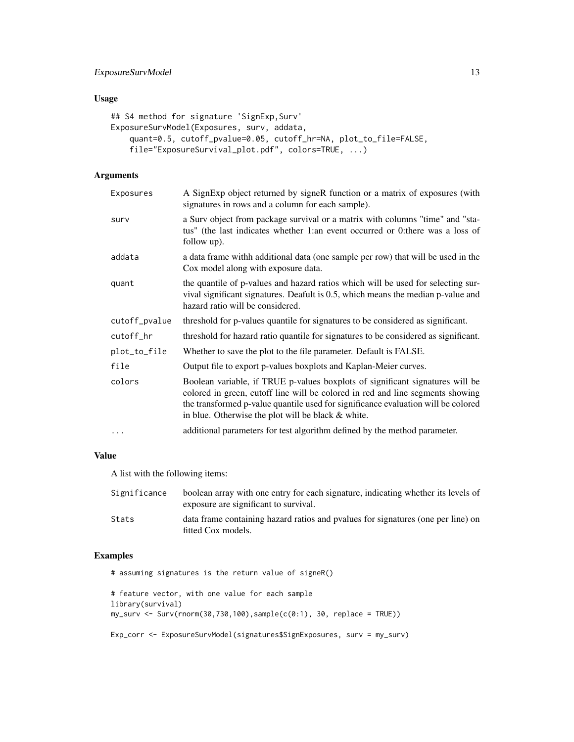# ExposureSurvModel 13

# Usage

```
## S4 method for signature 'SignExp, Surv'
ExposureSurvModel(Exposures, surv, addata,
    quant=0.5, cutoff_pvalue=0.05, cutoff_hr=NA, plot_to_file=FALSE,
    file="ExposureSurvival_plot.pdf", colors=TRUE, ...)
```
# Arguments

| Exposures     | A SignExp object returned by signeR function or a matrix of exposures (with<br>signatures in rows and a column for each sample).                                                                                                                                                                           |
|---------------|------------------------------------------------------------------------------------------------------------------------------------------------------------------------------------------------------------------------------------------------------------------------------------------------------------|
| surv          | a Surv object from package survival or a matrix with columns "time" and "sta-<br>tus" (the last indicates whether 1:an event occurred or 0:there was a loss of<br>follow up).                                                                                                                              |
| addata        | a data frame withh additional data (one sample per row) that will be used in the<br>Cox model along with exposure data.                                                                                                                                                                                    |
| quant         | the quantile of p-values and hazard ratios which will be used for selecting sur-<br>vival significant signatures. Deafult is 0.5, which means the median p-value and<br>hazard ratio will be considered.                                                                                                   |
| cutoff_pvalue | threshold for p-values quantile for signatures to be considered as significant.                                                                                                                                                                                                                            |
| cutoff_hr     | threshold for hazard ratio quantile for signatures to be considered as significant.                                                                                                                                                                                                                        |
| plot_to_file  | Whether to save the plot to the file parameter. Default is FALSE.                                                                                                                                                                                                                                          |
| file          | Output file to export p-values boxplots and Kaplan-Meier curves.                                                                                                                                                                                                                                           |
| colors        | Boolean variable, if TRUE p-values boxplots of significant signatures will be<br>colored in green, cutoff line will be colored in red and line segments showing<br>the transformed p-value quantile used for significance evaluation will be colored<br>in blue. Otherwise the plot will be black & white. |
| $\cdots$      | additional parameters for test algorithm defined by the method parameter.                                                                                                                                                                                                                                  |

#### Value

A list with the following items:

| Significance | boolean array with one entry for each signature, indicating whether its levels of<br>exposure are significant to survival. |
|--------------|----------------------------------------------------------------------------------------------------------------------------|
| Stats        | data frame containing hazard ratios and pyalues for signatures (one per line) on<br>fitted Cox models.                     |

# Examples

# assuming signatures is the return value of signeR()

```
# feature vector, with one value for each sample
library(survival)
my\_surv \leftarrow Surv(rnorm(30, 730, 100), sample(c(0:1), 30, replace = TRUE))
```
Exp\_corr <- ExposureSurvModel(signatures\$SignExposures, surv = my\_surv)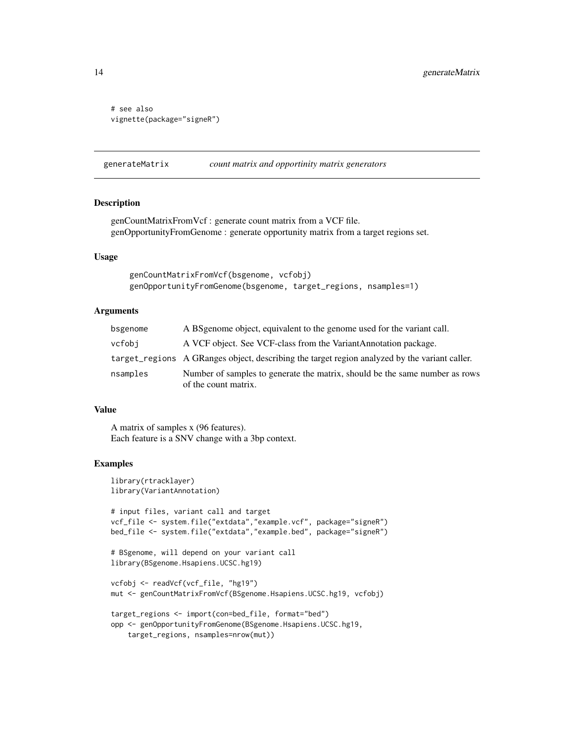```
# see also
vignette(package="signeR")
```
generateMatrix *count matrix and opportinity matrix generators*

# Description

genCountMatrixFromVcf : generate count matrix from a VCF file. genOpportunityFromGenome : generate opportunity matrix from a target regions set.

# Usage

```
genCountMatrixFromVcf(bsgenome, vcfobj)
genOpportunityFromGenome(bsgenome, target_regions, nsamples=1)
```
#### **Arguments**

| bsgenome | A BS genome object, equivalent to the genome used for the variant call.                             |
|----------|-----------------------------------------------------------------------------------------------------|
| vcfobi   | A VCF object. See VCF-class from the VariantAnnotation package.                                     |
|          | target_regions A GRanges object, describing the target region analyzed by the variant caller.       |
| nsamples | Number of samples to generate the matrix, should be the same number as rows<br>of the count matrix. |

#### Value

A matrix of samples x (96 features). Each feature is a SNV change with a 3bp context.

#### Examples

```
library(rtracklayer)
library(VariantAnnotation)
# input files, variant call and target
vcf_file <- system.file("extdata","example.vcf", package="signeR")
bed_file <- system.file("extdata","example.bed", package="signeR")
# BSgenome, will depend on your variant call
library(BSgenome.Hsapiens.UCSC.hg19)
vcfobj <- readVcf(vcf_file, "hg19")
mut <- genCountMatrixFromVcf(BSgenome.Hsapiens.UCSC.hg19, vcfobj)
target_regions <- import(con=bed_file, format="bed")
opp <- genOpportunityFromGenome(BSgenome.Hsapiens.UCSC.hg19,
    target_regions, nsamples=nrow(mut))
```
<span id="page-13-0"></span>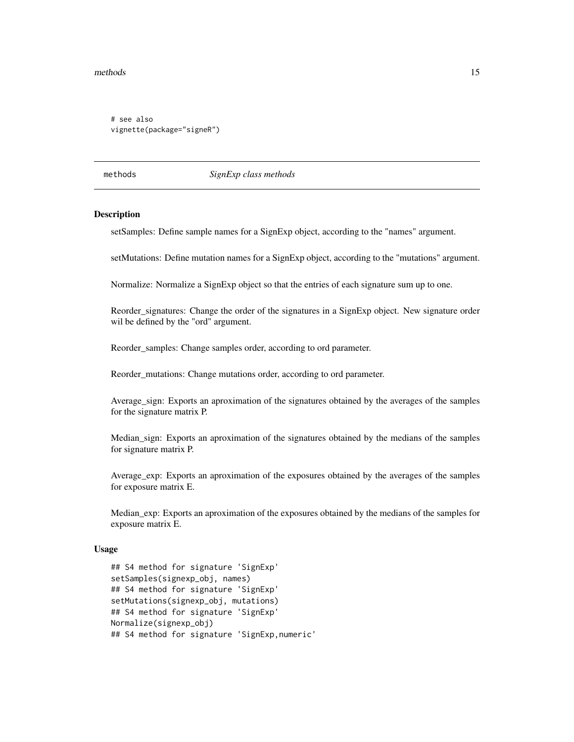#### <span id="page-14-0"></span>methods and the contract of the contract of the contract of the contract of the contract of the contract of the contract of the contract of the contract of the contract of the contract of the contract of the contract of th

```
# see also
vignette(package="signeR")
```
methods *SignExp class methods*

#### **Description**

setSamples: Define sample names for a SignExp object, according to the "names" argument.

setMutations: Define mutation names for a SignExp object, according to the "mutations" argument.

Normalize: Normalize a SignExp object so that the entries of each signature sum up to one.

Reorder\_signatures: Change the order of the signatures in a SignExp object. New signature order wil be defined by the "ord" argument.

Reorder\_samples: Change samples order, according to ord parameter.

Reorder\_mutations: Change mutations order, according to ord parameter.

Average\_sign: Exports an aproximation of the signatures obtained by the averages of the samples for the signature matrix P.

Median\_sign: Exports an aproximation of the signatures obtained by the medians of the samples for signature matrix P.

Average\_exp: Exports an aproximation of the exposures obtained by the averages of the samples for exposure matrix E.

Median\_exp: Exports an aproximation of the exposures obtained by the medians of the samples for exposure matrix E.

#### Usage

```
## S4 method for signature 'SignExp'
setSamples(signexp_obj, names)
## S4 method for signature 'SignExp'
setMutations(signexp_obj, mutations)
## S4 method for signature 'SignExp'
Normalize(signexp_obj)
## S4 method for signature 'SignExp,numeric'
```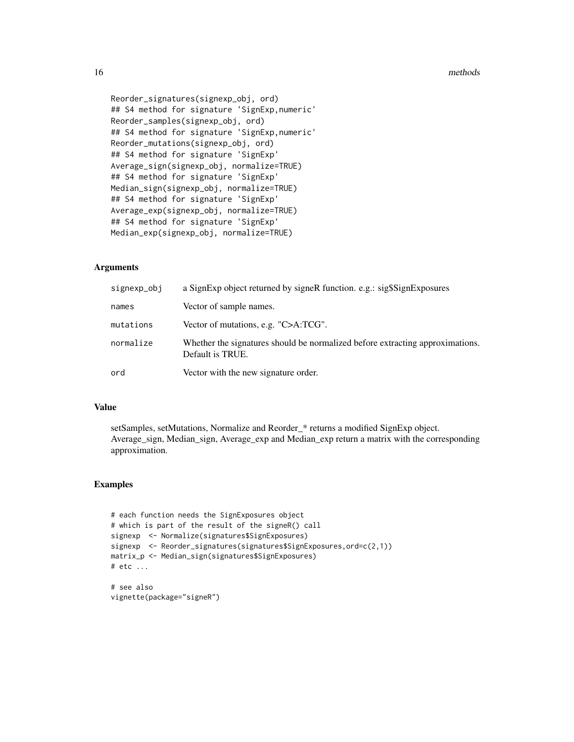#### 16 methods and the contract of the contract of the methods methods are methods of the contract of the contract of the contract of the contract of the contract of the contract of the contract of the contract of the contract

Reorder\_signatures(signexp\_obj, ord) ## S4 method for signature 'SignExp,numeric' Reorder\_samples(signexp\_obj, ord) ## S4 method for signature 'SignExp,numeric' Reorder\_mutations(signexp\_obj, ord) ## S4 method for signature 'SignExp' Average\_sign(signexp\_obj, normalize=TRUE) ## S4 method for signature 'SignExp' Median\_sign(signexp\_obj, normalize=TRUE) ## S4 method for signature 'SignExp' Average\_exp(signexp\_obj, normalize=TRUE) ## S4 method for signature 'SignExp' Median\_exp(signexp\_obj, normalize=TRUE)

# Arguments

| signexp_obj | a SignExp object returned by signeR function. e.g.: sig\$SignExposures                            |
|-------------|---------------------------------------------------------------------------------------------------|
| names       | Vector of sample names.                                                                           |
| mutations   | Vector of mutations, e.g. "C>A:TCG".                                                              |
| normalize   | Whether the signatures should be normalized before extracting approximations.<br>Default is TRUE. |
| ord         | Vector with the new signature order.                                                              |

#### Value

setSamples, setMutations, Normalize and Reorder\_\* returns a modified SignExp object. Average\_sign, Median\_sign, Average\_exp and Median\_exp return a matrix with the corresponding approximation.

# Examples

```
# each function needs the SignExposures object
# which is part of the result of the signeR() call
signexp <- Normalize(signatures$SignExposures)
signexp <- Reorder_signatures(signatures$SignExposures,ord=c(2,1))
matrix_p <- Median_sign(signatures$SignExposures)
# etc ...
# see also
```
vignette(package="signeR")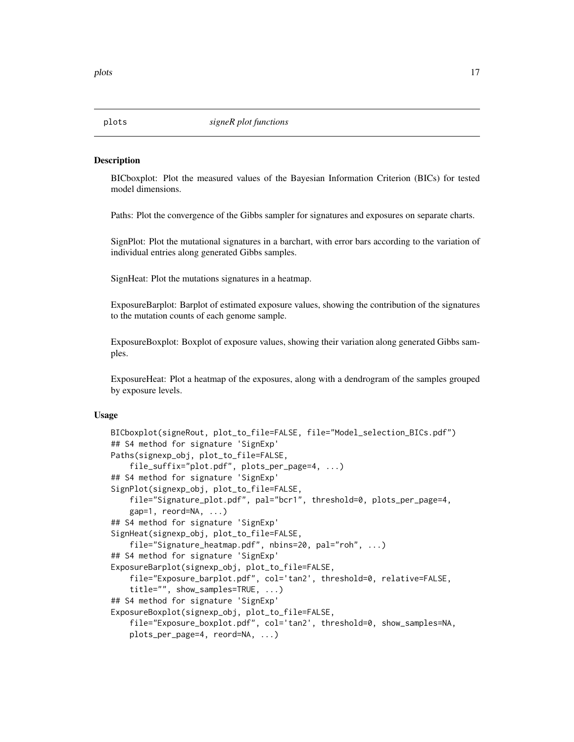#### <span id="page-16-0"></span>**Description**

BICboxplot: Plot the measured values of the Bayesian Information Criterion (BICs) for tested model dimensions.

Paths: Plot the convergence of the Gibbs sampler for signatures and exposures on separate charts.

SignPlot: Plot the mutational signatures in a barchart, with error bars according to the variation of individual entries along generated Gibbs samples.

SignHeat: Plot the mutations signatures in a heatmap.

ExposureBarplot: Barplot of estimated exposure values, showing the contribution of the signatures to the mutation counts of each genome sample.

ExposureBoxplot: Boxplot of exposure values, showing their variation along generated Gibbs samples.

ExposureHeat: Plot a heatmap of the exposures, along with a dendrogram of the samples grouped by exposure levels.

#### Usage

```
BICboxplot(signeRout, plot_to_file=FALSE, file="Model_selection_BICs.pdf")
## S4 method for signature 'SignExp'
Paths(signexp_obj, plot_to_file=FALSE,
    file_suffix="plot.pdf", plots_per_page=4, ...)
## S4 method for signature 'SignExp'
SignPlot(signexp_obj, plot_to_file=FALSE,
    file="Signature_plot.pdf", pal="bcr1", threshold=0, plots_per_page=4,
   gap=1, reord=NA, ...)
## S4 method for signature 'SignExp'
SignHeat(signexp_obj, plot_to_file=FALSE,
    file="Signature_heatmap.pdf", nbins=20, pal="roh", ...)
## S4 method for signature 'SignExp'
ExposureBarplot(signexp_obj, plot_to_file=FALSE,
    file="Exposure_barplot.pdf", col='tan2', threshold=0, relative=FALSE,
    title="", show_samples=TRUE, ...)
## S4 method for signature 'SignExp'
ExposureBoxplot(signexp_obj, plot_to_file=FALSE,
    file="Exposure_boxplot.pdf", col='tan2', threshold=0, show_samples=NA,
   plots_per_page=4, reord=NA, ...)
```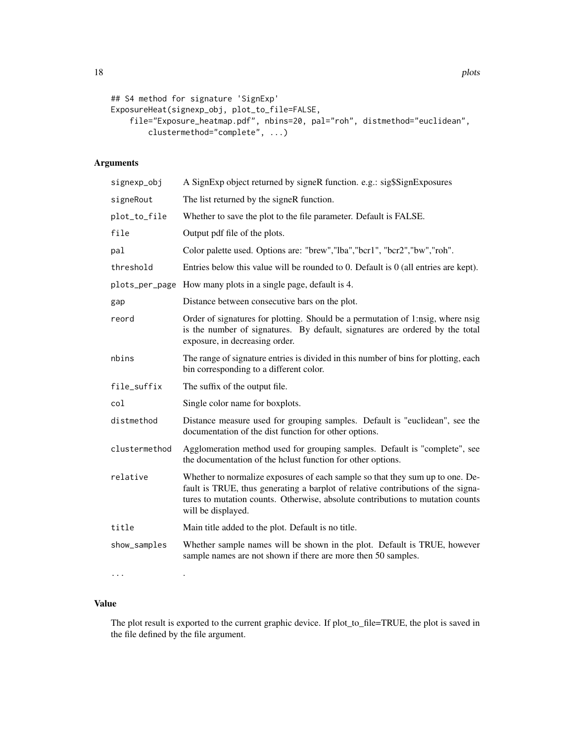```
## S4 method for signature 'SignExp'
ExposureHeat(signexp_obj, plot_to_file=FALSE,
    file="Exposure_heatmap.pdf", nbins=20, pal="roh", distmethod="euclidean",
        clustermethod="complete", ...)
```
# Arguments

| signexp_obj   | A SignExp object returned by signeR function. e.g.: sig\$SignExposures                                                                                                                                                                                                    |
|---------------|---------------------------------------------------------------------------------------------------------------------------------------------------------------------------------------------------------------------------------------------------------------------------|
| signeRout     | The list returned by the signeR function.                                                                                                                                                                                                                                 |
| plot_to_file  | Whether to save the plot to the file parameter. Default is FALSE.                                                                                                                                                                                                         |
| file          | Output pdf file of the plots.                                                                                                                                                                                                                                             |
| pal           | Color palette used. Options are: "brew","lba","bcr1", "bcr2","bw","roh".                                                                                                                                                                                                  |
| threshold     | Entries below this value will be rounded to $0$ . Default is $0$ (all entries are kept).                                                                                                                                                                                  |
|               | plots_per_page How many plots in a single page, default is 4.                                                                                                                                                                                                             |
| gap           | Distance between consecutive bars on the plot.                                                                                                                                                                                                                            |
| reord         | Order of signatures for plotting. Should be a permutation of 1:nsig, where nsig<br>is the number of signatures. By default, signatures are ordered by the total<br>exposure, in decreasing order.                                                                         |
| nbins         | The range of signature entries is divided in this number of bins for plotting, each<br>bin corresponding to a different color.                                                                                                                                            |
| file_suffix   | The suffix of the output file.                                                                                                                                                                                                                                            |
| col           | Single color name for boxplots.                                                                                                                                                                                                                                           |
| distmethod    | Distance measure used for grouping samples. Default is "euclidean", see the<br>documentation of the dist function for other options.                                                                                                                                      |
| clustermethod | Agglomeration method used for grouping samples. Default is "complete", see<br>the documentation of the hclust function for other options.                                                                                                                                 |
| relative      | Whether to normalize exposures of each sample so that they sum up to one. De-<br>fault is TRUE, thus generating a barplot of relative contributions of the signa-<br>tures to mutation counts. Otherwise, absolute contributions to mutation counts<br>will be displayed. |
| title         | Main title added to the plot. Default is no title.                                                                                                                                                                                                                        |
| show_samples  | Whether sample names will be shown in the plot. Default is TRUE, however<br>sample names are not shown if there are more then 50 samples.                                                                                                                                 |

Value

... .

The plot result is exported to the current graphic device. If plot\_to\_file=TRUE, the plot is saved in the file defined by the file argument.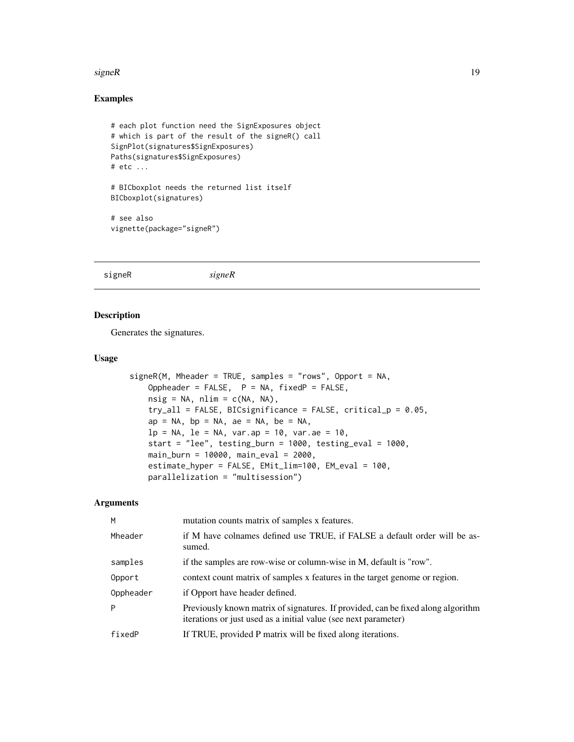#### <span id="page-18-0"></span>signeR  $\blacksquare$

# Examples

```
# each plot function need the SignExposures object
# which is part of the result of the signeR() call
SignPlot(signatures$SignExposures)
Paths(signatures$SignExposures)
# etc ...
# BICboxplot needs the returned list itself
BICboxplot(signatures)
# see also
vignette(package="signeR")
```
signeR *signeR*

# Description

Generates the signatures.

#### Usage

```
signeR(M, Mheader = TRUE, samples = "rows", Opport = NA,
   Oppheader = FALSE, P = NA, fixedP = FALSE,nsig = NA, nlim = c(NA, NA),
   try_all = FALSE, BICsignificance = FALSE, critical_p = 0.05,
   ap = NA, bp = NA, ae = NA, be = NA,
   lp = NA, le = NA, var.ap = 10, var.ae = 10,
   start = "lee", testing_burn = 1000, testing_eval = 1000,
   main_burn = 10000, main_eval = 2000,
   estimate_hyper = FALSE, EMit_lim=100, EM_eval = 100,
   parallelization = "multisession")
```
# Arguments

| M         | mutation counts matrix of samples x features.                                                                                                       |
|-----------|-----------------------------------------------------------------------------------------------------------------------------------------------------|
| Mheader   | if M have colnames defined use TRUE, if FALSE a default order will be as-<br>sumed.                                                                 |
| samples   | if the samples are row-wise or column-wise in M, default is "row".                                                                                  |
| Opport    | context count matrix of samples x features in the target genome or region.                                                                          |
| Oppheader | if Opport have header defined.                                                                                                                      |
| P         | Previously known matrix of signatures. If provided, can be fixed along algorithm<br>iterations or just used as a initial value (see next parameter) |
| fixedP    | If TRUE, provided P matrix will be fixed along iterations.                                                                                          |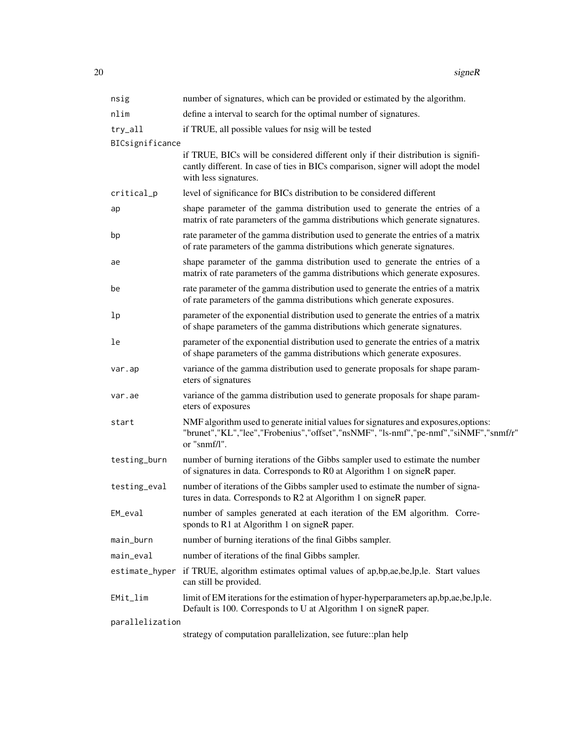| nsig            | number of signatures, which can be provided or estimated by the algorithm.                                                                                                                      |
|-----------------|-------------------------------------------------------------------------------------------------------------------------------------------------------------------------------------------------|
| nlim            | define a interval to search for the optimal number of signatures.                                                                                                                               |
| try_all         | if TRUE, all possible values for nsig will be tested                                                                                                                                            |
| BICsignificance |                                                                                                                                                                                                 |
|                 | if TRUE, BICs will be considered different only if their distribution is signifi-<br>cantly different. In case of ties in BICs comparison, signer will adopt the model<br>with less signatures. |
| critical_p      | level of significance for BICs distribution to be considered different                                                                                                                          |
| ap              | shape parameter of the gamma distribution used to generate the entries of a<br>matrix of rate parameters of the gamma distributions which generate signatures.                                  |
| bp              | rate parameter of the gamma distribution used to generate the entries of a matrix<br>of rate parameters of the gamma distributions which generate signatures.                                   |
| ae              | shape parameter of the gamma distribution used to generate the entries of a<br>matrix of rate parameters of the gamma distributions which generate exposures.                                   |
| be              | rate parameter of the gamma distribution used to generate the entries of a matrix<br>of rate parameters of the gamma distributions which generate exposures.                                    |
| lp              | parameter of the exponential distribution used to generate the entries of a matrix<br>of shape parameters of the gamma distributions which generate signatures.                                 |
| le              | parameter of the exponential distribution used to generate the entries of a matrix<br>of shape parameters of the gamma distributions which generate exposures.                                  |
| var.ap          | variance of the gamma distribution used to generate proposals for shape param-<br>eters of signatures                                                                                           |
| var.ae          | variance of the gamma distribution used to generate proposals for shape param-<br>eters of exposures                                                                                            |
| start           | NMF algorithm used to generate initial values for signatures and exposures, options:<br>"brunet","KL","lee","Frobenius","offset","nsNMF", "ls-nmf","pe-nmf","siNMF","snmf/r"<br>or "snmf/l".    |
| testing_burn    | number of burning iterations of the Gibbs sampler used to estimate the number<br>of signatures in data. Corresponds to R0 at Algorithm 1 on signeR paper.                                       |
| testing_eval    | number of iterations of the Gibbs sampler used to estimate the number of signa-<br>tures in data. Corresponds to R2 at Algorithm 1 on signeR paper.                                             |
| EM_eval         | number of samples generated at each iteration of the EM algorithm. Corre-<br>sponds to R1 at Algorithm 1 on signeR paper.                                                                       |
| main_burn       | number of burning iterations of the final Gibbs sampler.                                                                                                                                        |
| main_eval       | number of iterations of the final Gibbs sampler.                                                                                                                                                |
|                 | estimate_hyper if TRUE, algorithm estimates optimal values of ap, bp, ae, be, lp, le. Start values<br>can still be provided.                                                                    |
| EMit_lim        | limit of EM iterations for the estimation of hyper-hyperparameters ap, bp, ae, be, lp, le.<br>Default is 100. Corresponds to U at Algorithm 1 on signeR paper.                                  |
| parallelization |                                                                                                                                                                                                 |
|                 | strategy of computation parallelization, see future: plan help                                                                                                                                  |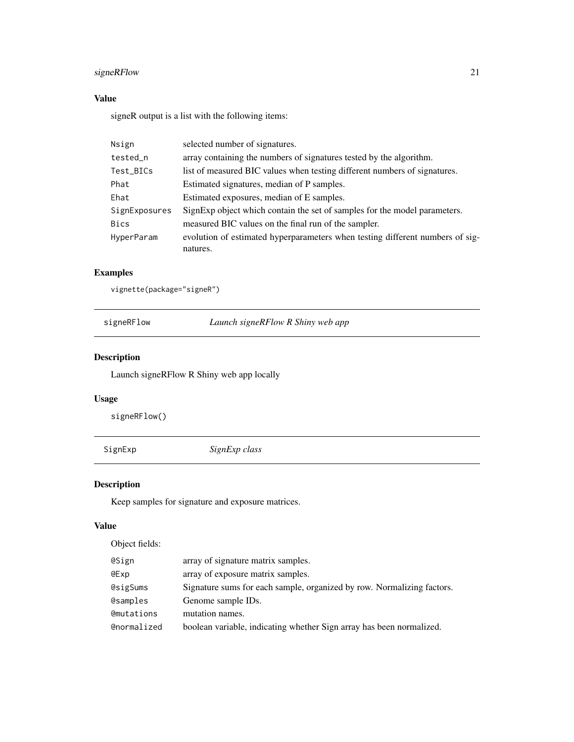# <span id="page-20-0"></span>signeRFlow 21

# Value

signeR output is a list with the following items:

| Nsign         | selected number of signatures.                                                |
|---------------|-------------------------------------------------------------------------------|
| tested_n      | array containing the numbers of signatures tested by the algorithm.           |
| Test_BICs     | list of measured BIC values when testing different numbers of signatures.     |
| Phat          | Estimated signatures, median of P samples.                                    |
| Ehat          | Estimated exposures, median of E samples.                                     |
| SignExposures | SignExp object which contain the set of samples for the model parameters.     |
| <b>Bics</b>   | measured BIC values on the final run of the sampler.                          |
| HyperParam    | evolution of estimated hyperparameters when testing different numbers of sig- |
|               | natures.                                                                      |

# Examples

vignette(package="signeR")

signeRFlow *Launch signeRFlow R Shiny web app*

# Description

Launch signeRFlow R Shiny web app locally

# Usage

signeRFlow()

SignExp *SignExp class*

# Description

Keep samples for signature and exposure matrices.

# Value

Object fields:

| @Sign       | array of signature matrix samples.                                     |
|-------------|------------------------------------------------------------------------|
| @Exp        | array of exposure matrix samples.                                      |
| @sigSums    | Signature sums for each sample, organized by row. Normalizing factors. |
| @samples    | Genome sample IDs.                                                     |
| @mutations  | mutation names.                                                        |
| @normalized | boolean variable, indicating whether Sign array has been normalized.   |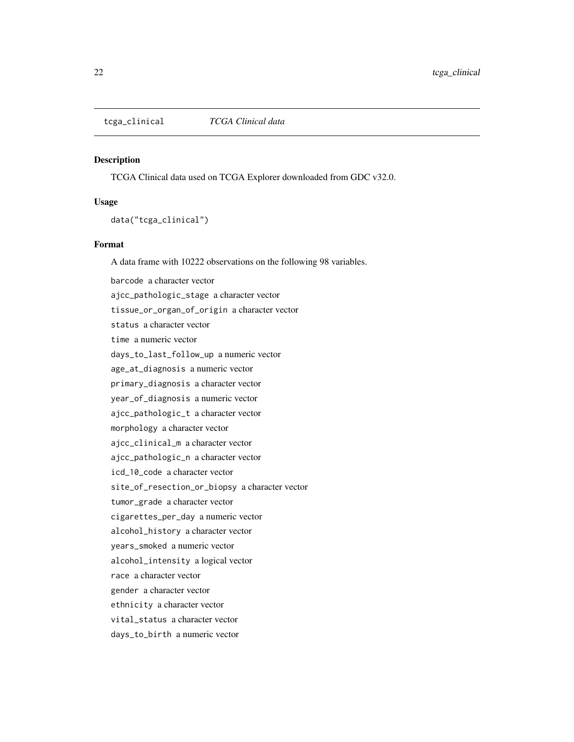<span id="page-21-0"></span>tcga\_clinical *TCGA Clinical data*

#### Description

TCGA Clinical data used on TCGA Explorer downloaded from GDC v32.0.

#### Usage

data("tcga\_clinical")

#### Format

A data frame with 10222 observations on the following 98 variables.

barcode a character vector ajcc\_pathologic\_stage a character vector tissue\_or\_organ\_of\_origin a character vector status a character vector time a numeric vector days\_to\_last\_follow\_up a numeric vector age\_at\_diagnosis a numeric vector primary\_diagnosis a character vector year\_of\_diagnosis a numeric vector ajcc\_pathologic\_t a character vector morphology a character vector ajcc\_clinical\_m a character vector ajcc\_pathologic\_n a character vector icd\_10\_code a character vector site\_of\_resection\_or\_biopsy a character vector tumor\_grade a character vector cigarettes\_per\_day a numeric vector alcohol\_history a character vector years\_smoked a numeric vector alcohol\_intensity a logical vector race a character vector gender a character vector ethnicity a character vector vital\_status a character vector days\_to\_birth a numeric vector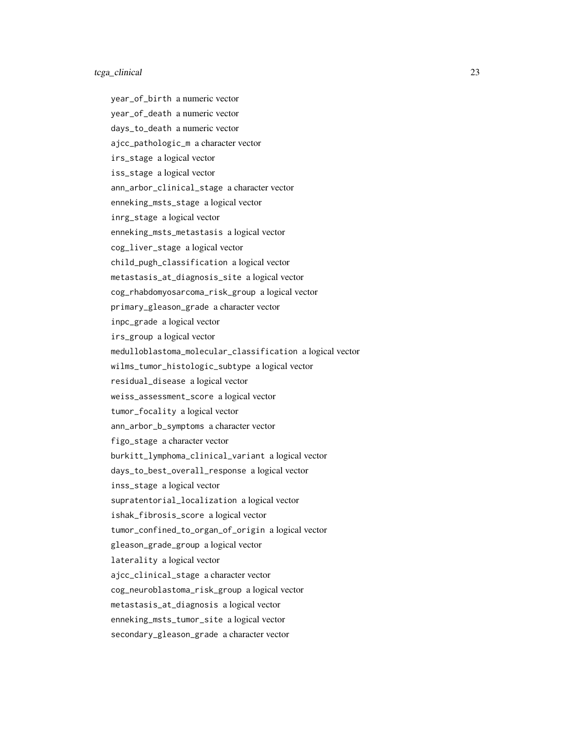#### tcga\_clinical 23

year\_of\_birth a numeric vector year\_of\_death a numeric vector days\_to\_death a numeric vector ajcc\_pathologic\_m a character vector irs\_stage a logical vector iss\_stage a logical vector ann\_arbor\_clinical\_stage a character vector enneking\_msts\_stage a logical vector inrg\_stage a logical vector enneking\_msts\_metastasis a logical vector cog\_liver\_stage a logical vector child\_pugh\_classification a logical vector metastasis\_at\_diagnosis\_site a logical vector cog\_rhabdomyosarcoma\_risk\_group a logical vector primary\_gleason\_grade a character vector inpc\_grade a logical vector irs\_group a logical vector medulloblastoma\_molecular\_classification a logical vector wilms\_tumor\_histologic\_subtype a logical vector residual\_disease a logical vector weiss\_assessment\_score a logical vector tumor\_focality a logical vector ann\_arbor\_b\_symptoms a character vector figo\_stage a character vector burkitt\_lymphoma\_clinical\_variant a logical vector days\_to\_best\_overall\_response a logical vector inss\_stage a logical vector supratentorial\_localization a logical vector ishak\_fibrosis\_score a logical vector tumor\_confined\_to\_organ\_of\_origin a logical vector gleason\_grade\_group a logical vector laterality a logical vector ajcc\_clinical\_stage a character vector cog\_neuroblastoma\_risk\_group a logical vector metastasis\_at\_diagnosis a logical vector enneking\_msts\_tumor\_site a logical vector secondary\_gleason\_grade a character vector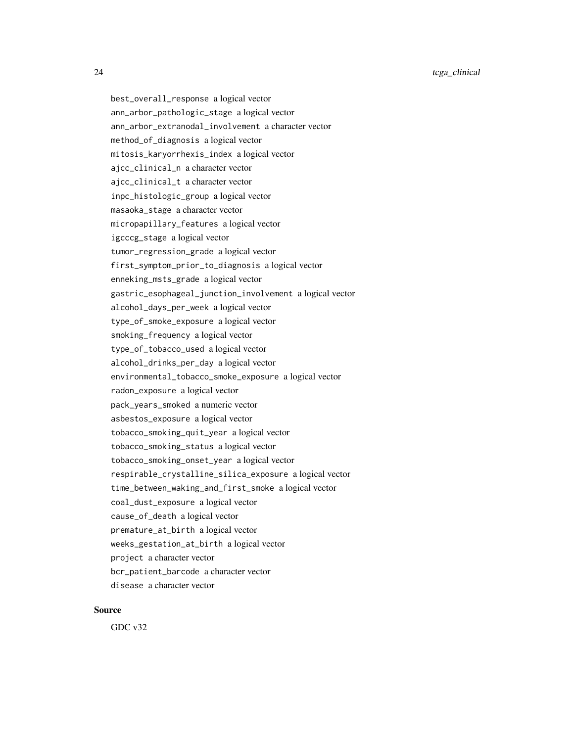24 tcga\_clinical tcga\_clinical tcga\_clinical tcga\_clinical tcga\_clinical tcga\_clinical tcga\_clinical tcga\_clinical tcga\_clinical tcga\_clinical tcga\_clinical tcga\_clinical tcga\_clinical tcga\_clinical tcga\_clinical tcga\_clin

best\_overall\_response a logical vector ann\_arbor\_pathologic\_stage a logical vector ann\_arbor\_extranodal\_involvement a character vector method\_of\_diagnosis a logical vector mitosis\_karyorrhexis\_index a logical vector ajcc\_clinical\_n a character vector ajcc\_clinical\_t a character vector inpc\_histologic\_group a logical vector masaoka\_stage a character vector micropapillary\_features a logical vector igcccg\_stage a logical vector tumor\_regression\_grade a logical vector first\_symptom\_prior\_to\_diagnosis a logical vector enneking\_msts\_grade a logical vector gastric\_esophageal\_junction\_involvement a logical vector alcohol\_days\_per\_week a logical vector type\_of\_smoke\_exposure a logical vector smoking\_frequency a logical vector type\_of\_tobacco\_used a logical vector alcohol\_drinks\_per\_day a logical vector environmental\_tobacco\_smoke\_exposure a logical vector radon\_exposure a logical vector pack\_years\_smoked a numeric vector asbestos\_exposure a logical vector tobacco\_smoking\_quit\_year a logical vector tobacco\_smoking\_status a logical vector tobacco\_smoking\_onset\_year a logical vector respirable\_crystalline\_silica\_exposure a logical vector time\_between\_waking\_and\_first\_smoke a logical vector coal\_dust\_exposure a logical vector cause\_of\_death a logical vector premature\_at\_birth a logical vector weeks\_gestation\_at\_birth a logical vector project a character vector bcr\_patient\_barcode a character vector disease a character vector

# Source

GDC v32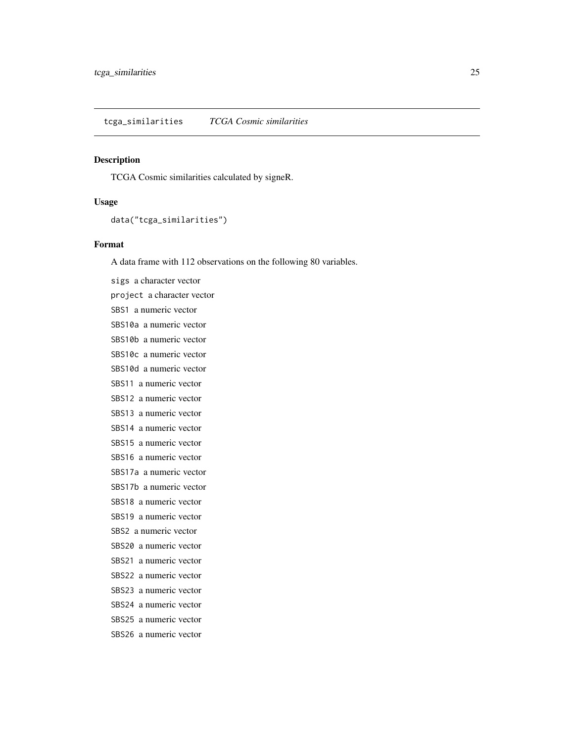### <span id="page-24-0"></span>Description

TCGA Cosmic similarities calculated by signeR.

#### Usage

data("tcga\_similarities")

#### Format

A data frame with 112 observations on the following 80 variables.

sigs a character vector project a character vector SBS1 a numeric vector SBS10a a numeric vector SBS10b a numeric vector SBS10c a numeric vector SBS10d a numeric vector SBS11 a numeric vector SBS12 a numeric vector SBS13 a numeric vector SBS14 a numeric vector SBS15 a numeric vector SBS16 a numeric vector SBS17a a numeric vector SBS17b a numeric vector SBS18 a numeric vector SBS19 a numeric vector SBS2 a numeric vector SBS20 a numeric vector SBS21 a numeric vector SBS22 a numeric vector SBS23 a numeric vector SBS24 a numeric vector SBS25 a numeric vector SBS26 a numeric vector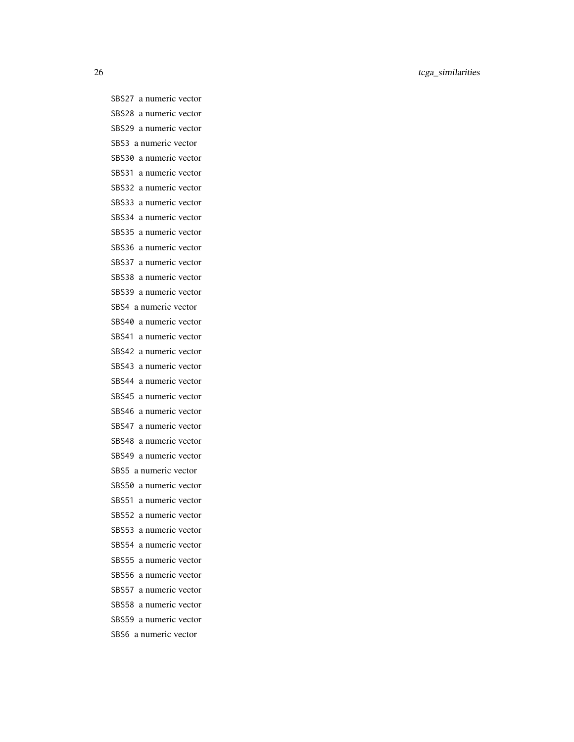26 tcga\_similarities

SBS27 a numeric vector SBS28 a numeric vector SBS29 a numeric vector SBS3 a numeric vector SBS30 a numeric vector SBS31 a numeric vector SBS32 a numeric vector SBS33 a numeric vector SBS34 a numeric vector SBS35 a numeric vector SBS36 a numeric vector SBS37 a numeric vector SBS38 a numeric vector SBS39 a numeric vector SBS4 a numeric vector SBS40 a numeric vector SBS41 a numeric vector SBS42 a numeric vector SBS43 a numeric vector SBS44 a numeric vector SBS45 a numeric vector SBS46 a numeric vector SBS47 a numeric vector SBS48 a numeric vector SBS49 a numeric vector SBS5 a numeric vector SBS50 a numeric vector SBS51 a numeric vector SBS52 a numeric vector SBS53 a numeric vector SBS54 a numeric vector SBS55 a numeric vector SBS56 a numeric vector SBS57 a numeric vector SBS58 a numeric vector SBS59 a numeric vector SBS6 a numeric vector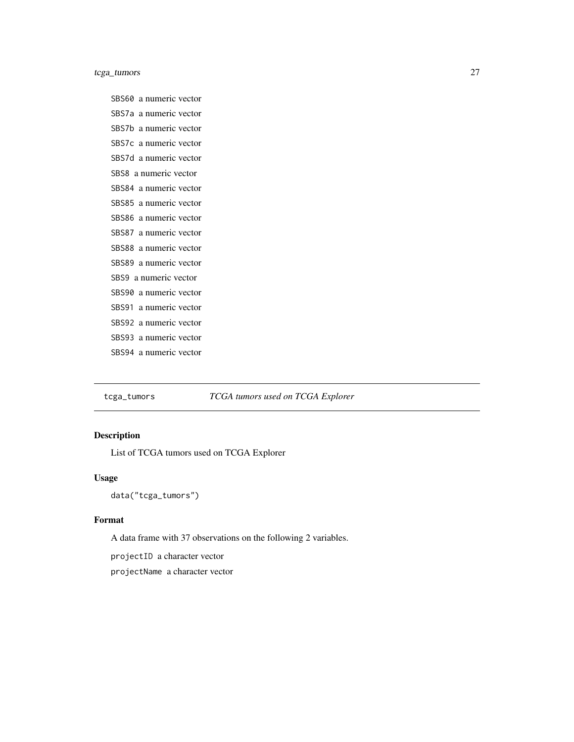<span id="page-26-0"></span>tcga\_tumors 27

SBS60 a numeric vector SBS7a a numeric vector SBS7b a numeric vector SBS7c a numeric vector SBS7d a numeric vector SBS8 a numeric vector SBS84 a numeric vector SBS85 a numeric vector SBS86 a numeric vector SBS87 a numeric vector SBS88 a numeric vector SBS89 a numeric vector SBS9 a numeric vector SBS90 a numeric vector SBS91 a numeric vector SBS92 a numeric vector SBS93 a numeric vector SBS94 a numeric vector

tcga\_tumors *TCGA tumors used on TCGA Explorer*

# Description

List of TCGA tumors used on TCGA Explorer

#### Usage

data("tcga\_tumors")

# Format

A data frame with 37 observations on the following 2 variables.

projectID a character vector

projectName a character vector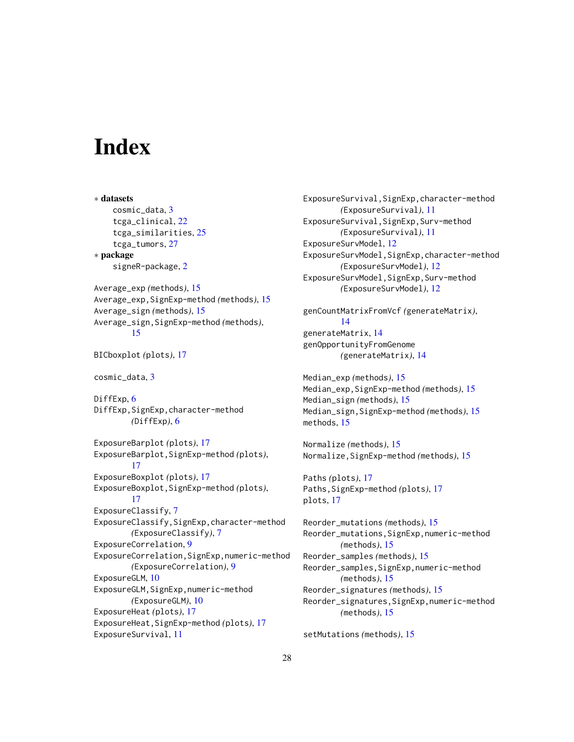# <span id="page-27-0"></span>**Index**

∗ datasets cosmic\_data, [3](#page-2-0) tcga\_clinical, [22](#page-21-0) tcga\_similarities, [25](#page-24-0) tcga\_tumors, [27](#page-26-0) ∗ package signeR-package, [2](#page-1-0) Average\_exp *(*methods*)*, [15](#page-14-0) Average\_exp,SignExp-method *(*methods*)*, [15](#page-14-0) Average\_sign *(*methods*)*, [15](#page-14-0) Average\_sign,SignExp-method *(*methods*)*, [15](#page-14-0) BICboxplot *(*plots*)*, [17](#page-16-0) cosmic\_data, [3](#page-2-0) DiffExp, [6](#page-5-0) DiffExp, SignExp, character-method *(*DiffExp*)*, [6](#page-5-0) ExposureBarplot *(*plots*)*, [17](#page-16-0) ExposureBarplot,SignExp-method *(*plots*)*, [17](#page-16-0) ExposureBoxplot *(*plots*)*, [17](#page-16-0) ExposureBoxplot,SignExp-method *(*plots*)*, [17](#page-16-0) ExposureClassify, [7](#page-6-0) ExposureClassify,SignExp,character-method *(*ExposureClassify*)*, [7](#page-6-0) ExposureCorrelation, [9](#page-8-0) ExposureCorrelation,SignExp,numeric-method *(*ExposureCorrelation*)*, [9](#page-8-0) ExposureGLM, [10](#page-9-0) ExposureGLM,SignExp,numeric-method *(*ExposureGLM*)*, [10](#page-9-0) ExposureHeat *(*plots*)*, [17](#page-16-0) ExposureHeat,SignExp-method *(*plots*)*, [17](#page-16-0) ExposureSurvival, [11](#page-10-0)

ExposureSurvival,SignExp,character-method *(*ExposureSurvival*)*, [11](#page-10-0) ExposureSurvival,SignExp,Surv-method *(*ExposureSurvival*)*, [11](#page-10-0) ExposureSurvModel, [12](#page-11-0) ExposureSurvModel,SignExp,character-method *(*ExposureSurvModel*)*, [12](#page-11-0) ExposureSurvModel,SignExp,Surv-method *(*ExposureSurvModel*)*, [12](#page-11-0)

genCountMatrixFromVcf *(*generateMatrix*)*, [14](#page-13-0) generateMatrix, [14](#page-13-0) genOpportunityFromGenome *(*generateMatrix*)*, [14](#page-13-0)

```
Median_exp (methods), 15
Median_exp,SignExp-method (methods), 15
Median_sign (methods), 15
Median_sign,SignExp-method (methods), 15
methods, 15
```
Normalize *(*methods*)*, [15](#page-14-0) Normalize,SignExp-method *(*methods*)*, [15](#page-14-0)

Paths *(*plots*)*, [17](#page-16-0) Paths,SignExp-method *(*plots*)*, [17](#page-16-0) plots, [17](#page-16-0)

Reorder\_mutations *(*methods*)*, [15](#page-14-0) Reorder\_mutations,SignExp,numeric-method *(*methods*)*, [15](#page-14-0) Reorder\_samples *(*methods*)*, [15](#page-14-0) Reorder\_samples,SignExp,numeric-method *(*methods*)*, [15](#page-14-0) Reorder\_signatures *(*methods*)*, [15](#page-14-0) Reorder\_signatures,SignExp,numeric-method *(*methods*)*, [15](#page-14-0)

setMutations *(*methods*)*, [15](#page-14-0)